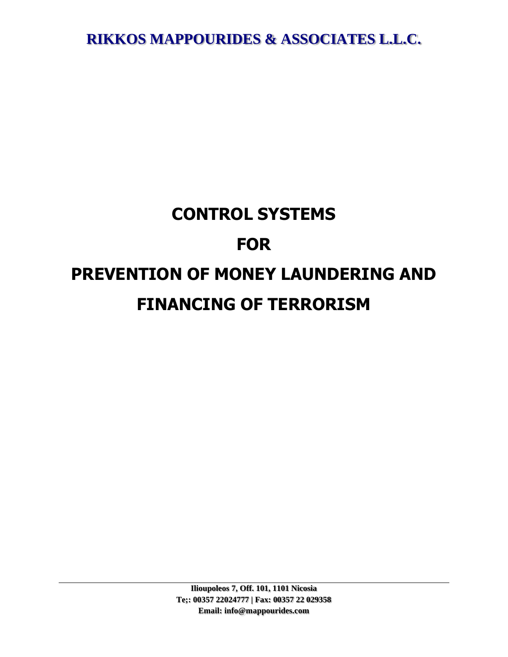# **CONTROL SYSTEMS FOR PREVENTION OF MONEY LAUNDERING AND FINANCING OF TERRORISM**

**Ilioupoleos 7, Off. 101, 1101 Nicosia Te;: 00357 22024777 | Fax: 00357 22 029358 Email: info@mappourides.com**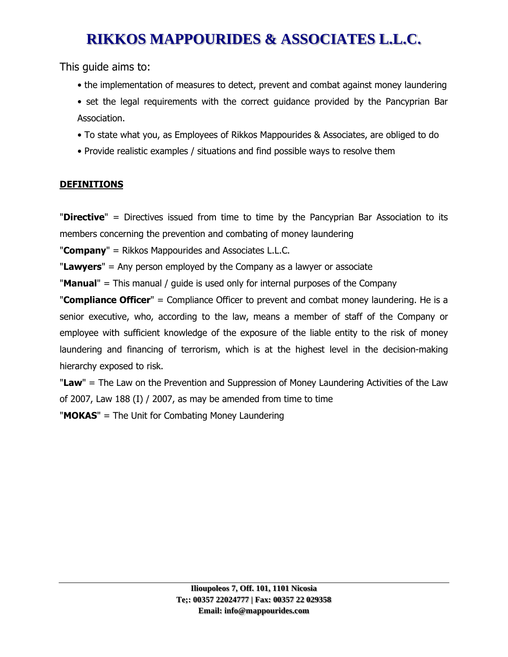This guide aims to:

- the implementation of measures to detect, prevent and combat against money laundering
- set the legal requirements with the correct guidance provided by the Pancyprian Bar Association.
- To state what you, as Employees of Rikkos Mappourides & Associates, are obliged to do
- Provide realistic examples / situations and find possible ways to resolve them

### **DEFINITIONS**

"**Directive**" = Directives issued from time to time by the Pancyprian Bar Association to its members concerning the prevention and combating of money laundering

"**Company**" = Rikkos Mappourides and Associates L.L.C.

"**Lawyers**" = Any person employed by the Company as a lawyer or associate

"**Manual**" = This manual / guide is used only for internal purposes of the Company

"**Compliance Officer**" = Compliance Officer to prevent and combat money laundering. He is a senior executive, who, according to the law, means a member of staff of the Company or employee with sufficient knowledge of the exposure of the liable entity to the risk of money laundering and financing of terrorism, which is at the highest level in the decision-making hierarchy exposed to risk.

"**Law**" = The Law on the Prevention and Suppression of Money Laundering Activities of the Law of 2007, Law 188 (I) / 2007, as may be amended from time to time

"**MOKAS**" = The Unit for Combating Money Laundering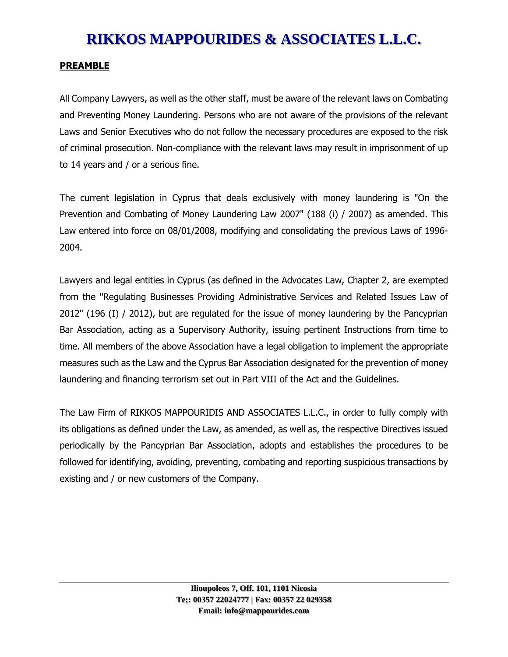#### **PREAMBLE**

All Company Lawyers, as well as the other staff, must be aware of the relevant laws on Combating and Preventing Money Laundering. Persons who are not aware of the provisions of the relevant Laws and Senior Executives who do not follow the necessary procedures are exposed to the risk of criminal prosecution. Non-compliance with the relevant laws may result in imprisonment of up to 14 years and / or a serious fine.

The current legislation in Cyprus that deals exclusively with money laundering is "On the Prevention and Combating of Money Laundering Law 2007" (188 (i) / 2007) as amended. This Law entered into force on 08/01/2008, modifying and consolidating the previous Laws of 1996- 2004.

Lawyers and legal entities in Cyprus (as defined in the Advocates Law, Chapter 2, are exempted from the "Regulating Businesses Providing Administrative Services and Related Issues Law of 2012" (196 (I) / 2012), but are regulated for the issue of money laundering by the Pancyprian Bar Association, acting as a Supervisory Authority, issuing pertinent Instructions from time to time. All members of the above Association have a legal obligation to implement the appropriate measures such as the Law and the Cyprus Bar Association designated for the prevention of money laundering and financing terrorism set out in Part VIII of the Act and the Guidelines.

The Law Firm of RIKKOS MAPPOURIDIS AND ASSOCIATES L.L.C., in order to fully comply with its obligations as defined under the Law, as amended, as well as, the respective Directives issued periodically by the Pancyprian Bar Association, adopts and establishes the procedures to be followed for identifying, avoiding, preventing, combating and reporting suspicious transactions by existing and / or new customers of the Company.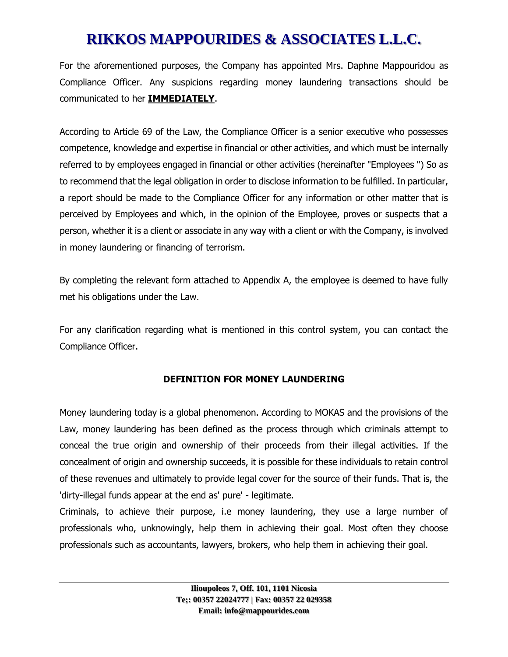For the aforementioned purposes, the Company has appointed Mrs. Daphne Mappouridou as Compliance Officer. Any suspicions regarding money laundering transactions should be communicated to her **IMMEDIATELY**.

According to Article 69 of the Law, the Compliance Officer is a senior executive who possesses competence, knowledge and expertise in financial or other activities, and which must be internally referred to by employees engaged in financial or other activities (hereinafter "Employees ") So as to recommend that the legal obligation in order to disclose information to be fulfilled. In particular, a report should be made to the Compliance Officer for any information or other matter that is perceived by Employees and which, in the opinion of the Employee, proves or suspects that a person, whether it is a client or associate in any way with a client or with the Company, is involved in money laundering or financing of terrorism.

By completing the relevant form attached to Appendix A, the employee is deemed to have fully met his obligations under the Law.

For any clarification regarding what is mentioned in this control system, you can contact the Compliance Officer.

### **DEFINITION FOR MONEY LAUNDERING**

Money laundering today is a global phenomenon. According to MOKAS and the provisions of the Law, money laundering has been defined as the process through which criminals attempt to conceal the true origin and ownership of their proceeds from their illegal activities. If the concealment of origin and ownership succeeds, it is possible for these individuals to retain control of these revenues and ultimately to provide legal cover for the source of their funds. That is, the 'dirty-illegal funds appear at the end as' pure' - legitimate.

Criminals, to achieve their purpose, i.e money laundering, they use a large number of professionals who, unknowingly, help them in achieving their goal. Most often they choose professionals such as accountants, lawyers, brokers, who help them in achieving their goal.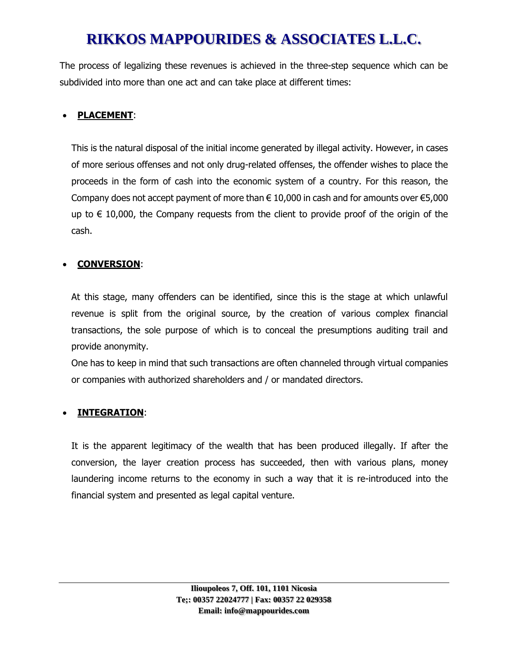The process of legalizing these revenues is achieved in the three-step sequence which can be subdivided into more than one act and can take place at different times:

### • **PLACEMENT**:

This is the natural disposal of the initial income generated by illegal activity. However, in cases of more serious offenses and not only drug-related offenses, the offender wishes to place the proceeds in the form of cash into the economic system of a country. For this reason, the Company does not accept payment of more than  $\epsilon$  10,000 in cash and for amounts over  $\epsilon$ 5,000 up to  $\in$  10,000, the Company requests from the client to provide proof of the origin of the cash.

### • **CONVERSION**:

At this stage, many offenders can be identified, since this is the stage at which unlawful revenue is split from the original source, by the creation of various complex financial transactions, the sole purpose of which is to conceal the presumptions auditing trail and provide anonymity.

One has to keep in mind that such transactions are often channeled through virtual companies or companies with authorized shareholders and / or mandated directors.

### • **INTEGRATION**:

It is the apparent legitimacy of the wealth that has been produced illegally. If after the conversion, the layer creation process has succeeded, then with various plans, money laundering income returns to the economy in such a way that it is re-introduced into the financial system and presented as legal capital venture.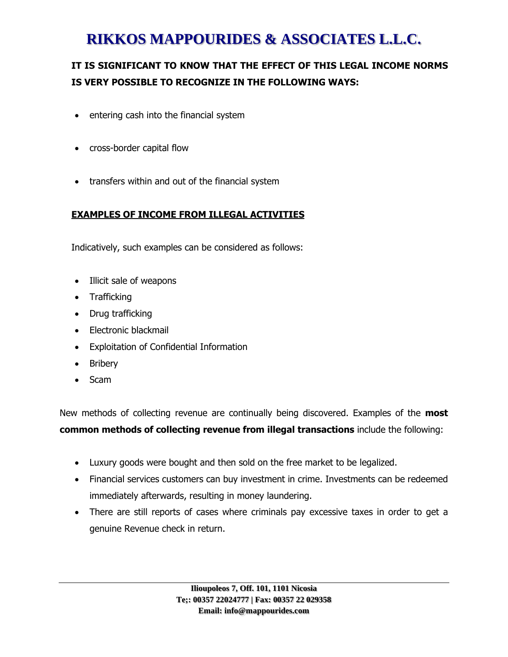### **IT IS SIGNIFICANT TO KNOW THAT THE EFFECT OF THIS LEGAL INCOME NORMS IS VERY POSSIBLE TO RECOGNIZE IN THE FOLLOWING WAYS:**

- entering cash into the financial system
- cross-border capital flow
- transfers within and out of the financial system

### **EXAMPLES OF INCOME FROM ILLEGAL ACTIVITIES**

Indicatively, such examples can be considered as follows:

- Illicit sale of weapons
- Trafficking
- Drug trafficking
- Electronic blackmail
- Exploitation of Confidential Information
- Bribery
- Scam

New methods of collecting revenue are continually being discovered. Examples of the **most common methods of collecting revenue from illegal transactions** include the following:

- Luxury goods were bought and then sold on the free market to be legalized.
- Financial services customers can buy investment in crime. Investments can be redeemed immediately afterwards, resulting in money laundering.
- There are still reports of cases where criminals pay excessive taxes in order to get a genuine Revenue check in return.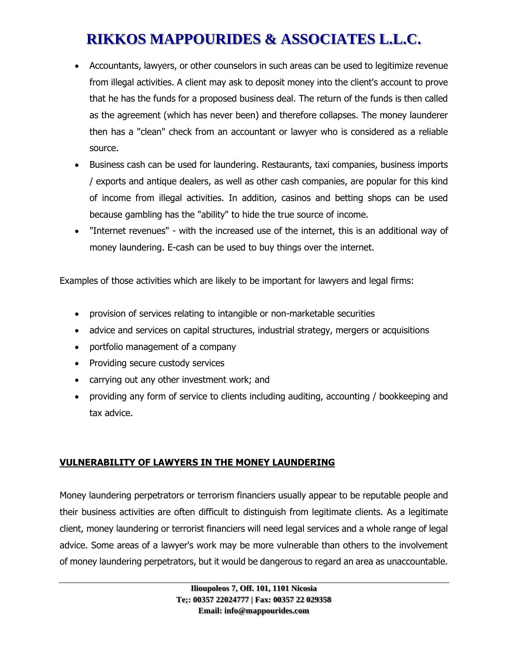- Accountants, lawyers, or other counselors in such areas can be used to legitimize revenue from illegal activities. A client may ask to deposit money into the client's account to prove that he has the funds for a proposed business deal. The return of the funds is then called as the agreement (which has never been) and therefore collapses. The money launderer then has a "clean" check from an accountant or lawyer who is considered as a reliable source.
- Business cash can be used for laundering. Restaurants, taxi companies, business imports / exports and antique dealers, as well as other cash companies, are popular for this kind of income from illegal activities. In addition, casinos and betting shops can be used because gambling has the "ability" to hide the true source of income.
- "Internet revenues" with the increased use of the internet, this is an additional way of money laundering. E-cash can be used to buy things over the internet.

Examples of those activities which are likely to be important for lawyers and legal firms:

- provision of services relating to intangible or non-marketable securities
- advice and services on capital structures, industrial strategy, mergers or acquisitions
- portfolio management of a company
- Providing secure custody services
- carrying out any other investment work; and
- providing any form of service to clients including auditing, accounting / bookkeeping and tax advice.

### **VULNERABILITY OF LAWYERS IN THE MONEY LAUNDERING**

Money laundering perpetrators or terrorism financiers usually appear to be reputable people and their business activities are often difficult to distinguish from legitimate clients. As a legitimate client, money laundering or terrorist financiers will need legal services and a whole range of legal advice. Some areas of a lawyer's work may be more vulnerable than others to the involvement of money laundering perpetrators, but it would be dangerous to regard an area as unaccountable.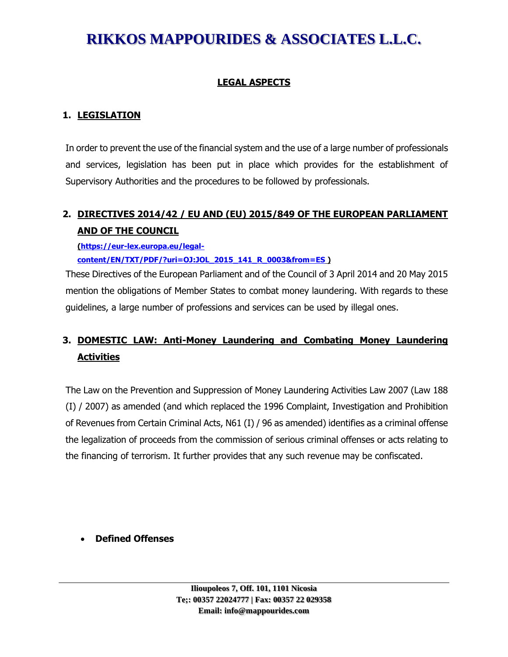### **LEGAL ASPECTS**

#### **1. LEGISLATION**

In order to prevent the use of the financial system and the use of a large number of professionals and services, legislation has been put in place which provides for the establishment of Supervisory Authorities and the procedures to be followed by professionals.

### **2. DIRECTIVES 2014/42 / EU AND (EU) 2015/849 OF THE EUROPEAN PARLIAMENT AND OF THE COUNCIL**

**[\(https://eur-lex.europa.eu/legal](https://eur-lex.europa.eu/legal-content/EN/TXT/PDF/?uri=OJ:JOL_2015_141_R_0003&from=ES)[content/EN/TXT/PDF/?uri=OJ:JOL\\_2015\\_141\\_R\\_0003&from=ES](https://eur-lex.europa.eu/legal-content/EN/TXT/PDF/?uri=OJ:JOL_2015_141_R_0003&from=ES) )**

These Directives of the European Parliament and of the Council of 3 April 2014 and 20 May 2015 mention the obligations of Member States to combat money laundering. With regards to these guidelines, a large number of professions and services can be used by illegal ones.

### **3. DOMESTIC LAW: Anti-Money Laundering and Combating Money Laundering Activities**

The Law on the Prevention and Suppression of Money Laundering Activities Law 2007 (Law 188 (I) / 2007) as amended (and which replaced the 1996 Complaint, Investigation and Prohibition of Revenues from Certain Criminal Acts, N61 (I) / 96 as amended) identifies as a criminal offense the legalization of proceeds from the commission of serious criminal offenses or acts relating to the financing of terrorism. It further provides that any such revenue may be confiscated.

#### • **Defined Offenses**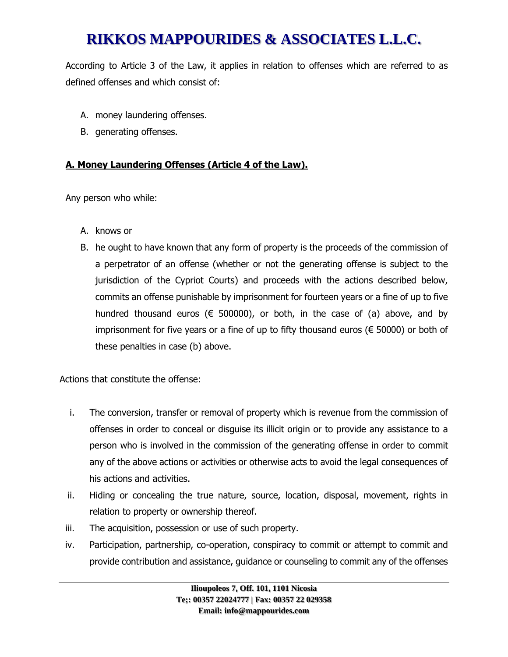According to Article 3 of the Law, it applies in relation to offenses which are referred to as defined offenses and which consist of:

- A. money laundering offenses.
- B. generating offenses.

#### **A. Money Laundering Offenses (Article 4 of the Law).**

Any person who while:

- A. knows or
- B. he ought to have known that any form of property is the proceeds of the commission of a perpetrator of an offense (whether or not the generating offense is subject to the jurisdiction of the Cypriot Courts) and proceeds with the actions described below, commits an offense punishable by imprisonment for fourteen years or a fine of up to five hundred thousand euros ( $\epsilon$  500000), or both, in the case of (a) above, and by imprisonment for five years or a fine of up to fifty thousand euros ( $\epsilon$  50000) or both of these penalties in case (b) above.

Actions that constitute the offense:

- i. The conversion, transfer or removal of property which is revenue from the commission of offenses in order to conceal or disguise its illicit origin or to provide any assistance to a person who is involved in the commission of the generating offense in order to commit any of the above actions or activities or otherwise acts to avoid the legal consequences of his actions and activities.
- ii. Hiding or concealing the true nature, source, location, disposal, movement, rights in relation to property or ownership thereof.
- iii. The acquisition, possession or use of such property.
- iv. Participation, partnership, co-operation, conspiracy to commit or attempt to commit and provide contribution and assistance, guidance or counseling to commit any of the offenses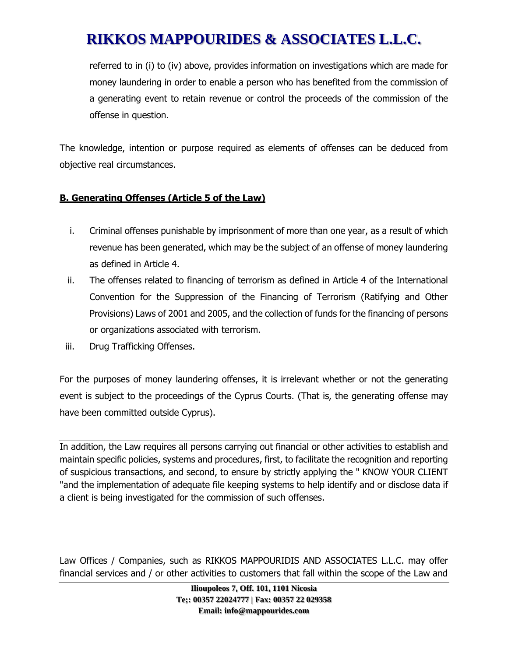referred to in (i) to (iv) above, provides information on investigations which are made for money laundering in order to enable a person who has benefited from the commission of a generating event to retain revenue or control the proceeds of the commission of the offense in question.

The knowledge, intention or purpose required as elements of offenses can be deduced from objective real circumstances.

### **B. Generating Offenses (Article 5 of the Law)**

- i. Criminal offenses punishable by imprisonment of more than one year, as a result of which revenue has been generated, which may be the subject of an offense of money laundering as defined in Article 4.
- ii. The offenses related to financing of terrorism as defined in Article 4 of the International Convention for the Suppression of the Financing of Terrorism (Ratifying and Other Provisions) Laws of 2001 and 2005, and the collection of funds for the financing of persons or organizations associated with terrorism.
- iii. Drug Trafficking Offenses.

For the purposes of money laundering offenses, it is irrelevant whether or not the generating event is subject to the proceedings of the Cyprus Courts. (That is, the generating offense may have been committed outside Cyprus).

In addition, the Law requires all persons carrying out financial or other activities to establish and maintain specific policies, systems and procedures, first, to facilitate the recognition and reporting of suspicious transactions, and second, to ensure by strictly applying the " KNOW YOUR CLIENT "and the implementation of adequate file keeping systems to help identify and or disclose data if a client is being investigated for the commission of such offenses.

Law Offices / Companies, such as RIKKOS MAPPOURIDIS AND ASSOCIATES L.L.C. may offer financial services and / or other activities to customers that fall within the scope of the Law and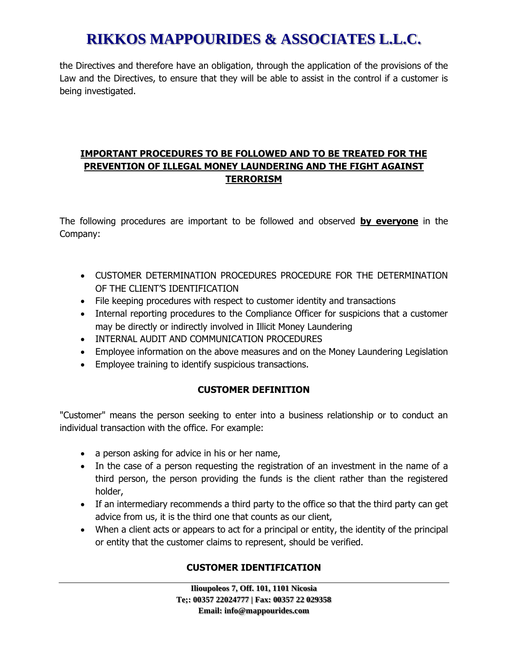the Directives and therefore have an obligation, through the application of the provisions of the Law and the Directives, to ensure that they will be able to assist in the control if a customer is being investigated.

### **IMPORTANT PROCEDURES TO BE FOLLOWED AND TO BE TREATED FOR THE PREVENTION OF ILLEGAL MONEY LAUNDERING AND THE FIGHT AGAINST TERRORISM**

The following procedures are important to be followed and observed **by everyone** in the Company:

- CUSTOMER DETERMINATION PROCEDURES PROCEDURE FOR THE DETERMINATION OF THE CLIENT'S IDENTIFICATION
- File keeping procedures with respect to customer identity and transactions
- Internal reporting procedures to the Compliance Officer for suspicions that a customer may be directly or indirectly involved in Illicit Money Laundering
- INTERNAL AUDIT AND COMMUNICATION PROCEDURES
- Employee information on the above measures and on the Money Laundering Legislation
- Employee training to identify suspicious transactions.

### **CUSTOMER DEFINITION**

"Customer" means the person seeking to enter into a business relationship or to conduct an individual transaction with the office. For example:

- a person asking for advice in his or her name,
- In the case of a person requesting the registration of an investment in the name of a third person, the person providing the funds is the client rather than the registered holder,
- If an intermediary recommends a third party to the office so that the third party can get advice from us, it is the third one that counts as our client,
- When a client acts or appears to act for a principal or entity, the identity of the principal or entity that the customer claims to represent, should be verified.

### **CUSTOMER IDENTIFICATION**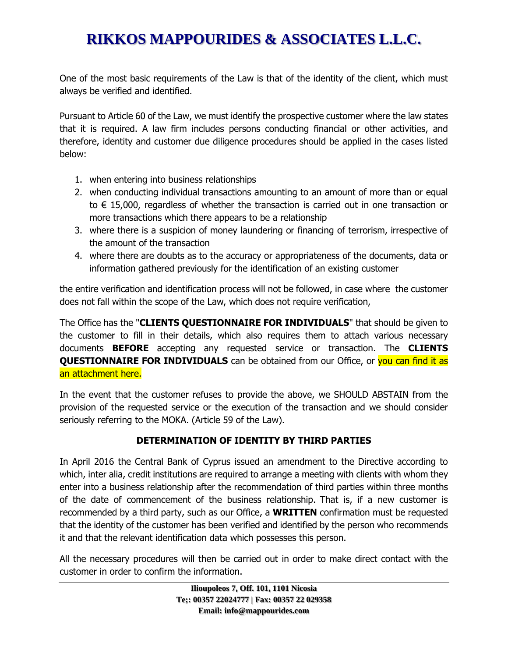One of the most basic requirements of the Law is that of the identity of the client, which must always be verified and identified.

Pursuant to Article 60 of the Law, we must identify the prospective customer where the law states that it is required. A law firm includes persons conducting financial or other activities, and therefore, identity and customer due diligence procedures should be applied in the cases listed below:

- 1. when entering into business relationships
- 2. when conducting individual transactions amounting to an amount of more than or equal to € 15,000, regardless of whether the transaction is carried out in one transaction or more transactions which there appears to be a relationship
- 3. where there is a suspicion of money laundering or financing of terrorism, irrespective of the amount of the transaction
- 4. where there are doubts as to the accuracy or appropriateness of the documents, data or information gathered previously for the identification of an existing customer

the entire verification and identification process will not be followed, in case where the customer does not fall within the scope of the Law, which does not require verification,

The Office has the "**CLIENTS QUESTIONNAIRE FOR INDIVIDUALS**" that should be given to the customer to fill in their details, which also requires them to attach various necessary documents **BEFORE** accepting any requested service or transaction. The **CLIENTS QUESTIONNAIRE FOR INDIVIDUALS** can be obtained from our Office, or you can find it as an attachment here.

In the event that the customer refuses to provide the above, we SHOULD ABSTAIN from the provision of the requested service or the execution of the transaction and we should consider seriously referring to the MOKA. (Article 59 of the Law).

#### **DETERMINATION OF IDENTITY BY THIRD PARTIES**

In April 2016 the Central Bank of Cyprus issued an amendment to the Directive according to which, inter alia, credit institutions are required to arrange a meeting with clients with whom they enter into a business relationship after the recommendation of third parties within three months of the date of commencement of the business relationship. That is, if a new customer is recommended by a third party, such as our Office, a **WRITTEN** confirmation must be requested that the identity of the customer has been verified and identified by the person who recommends it and that the relevant identification data which possesses this person.

All the necessary procedures will then be carried out in order to make direct contact with the customer in order to confirm the information.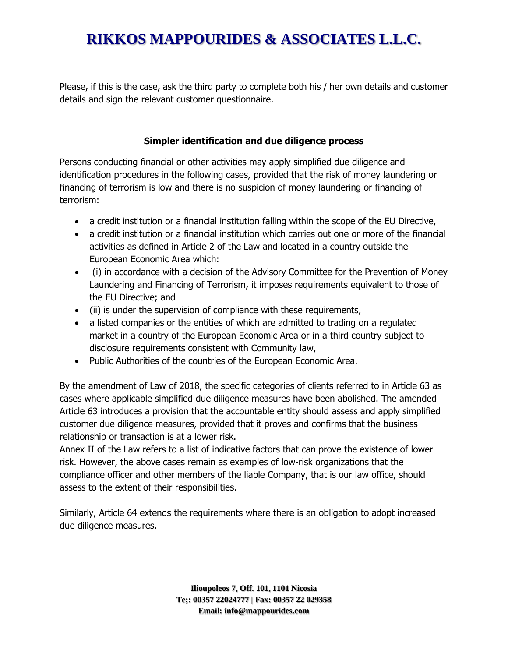Please, if this is the case, ask the third party to complete both his / her own details and customer details and sign the relevant customer questionnaire.

#### **Simpler identification and due diligence process**

Persons conducting financial or other activities may apply simplified due diligence and identification procedures in the following cases, provided that the risk of money laundering or financing of terrorism is low and there is no suspicion of money laundering or financing of terrorism:

- a credit institution or a financial institution falling within the scope of the EU Directive,
- a credit institution or a financial institution which carries out one or more of the financial activities as defined in Article 2 of the Law and located in a country outside the European Economic Area which:
- (i) in accordance with a decision of the Advisory Committee for the Prevention of Money Laundering and Financing of Terrorism, it imposes requirements equivalent to those of the EU Directive; and
- (ii) is under the supervision of compliance with these requirements,
- a listed companies or the entities of which are admitted to trading on a regulated market in a country of the European Economic Area or in a third country subject to disclosure requirements consistent with Community law,
- Public Authorities of the countries of the European Economic Area.

By the amendment of Law of 2018, the specific categories of clients referred to in Article 63 as cases where applicable simplified due diligence measures have been abolished. The amended Article 63 introduces a provision that the accountable entity should assess and apply simplified customer due diligence measures, provided that it proves and confirms that the business relationship or transaction is at a lower risk.

Annex II of the Law refers to a list of indicative factors that can prove the existence of lower risk. However, the above cases remain as examples of low-risk organizations that the compliance officer and other members of the liable Company, that is our law office, should assess to the extent of their responsibilities.

Similarly, Article 64 extends the requirements where there is an obligation to adopt increased due diligence measures.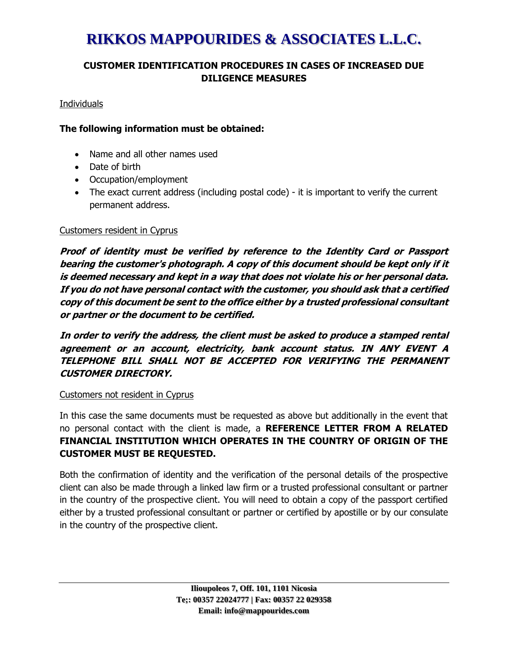### **CUSTOMER IDENTIFICATION PROCEDURES IN CASES OF INCREASED DUE DILIGENCE MEASURES**

Individuals

#### **The following information must be obtained:**

- Name and all other names used
- Date of birth
- Occupation/employment
- The exact current address (including postal code) it is important to verify the current permanent address.

#### Customers resident in Cyprus

**Proof of identity must be verified by reference to the Identity Card or Passport bearing the customer's photograph. A copy of this document should be kept only if it is deemed necessary and kept in a way that does not violate his or her personal data. If you do not have personal contact with the customer, you should ask that a certified copy of this document be sent to the office either by a trusted professional consultant or partner or the document to be certified.**

**In order to verify the address, the client must be asked to produce a stamped rental agreement or an account, electricity, bank account status. IN ANY EVENT A TELEPHONE BILL SHALL NOT BE ACCEPTED FOR VERIFYING THE PERMANENT CUSTOMER DIRECTORY.**

#### Customers not resident in Cyprus

In this case the same documents must be requested as above but additionally in the event that no personal contact with the client is made, a **REFERENCE LETTER FROM A RELATED FINANCIAL INSTITUTION WHICH OPERATES IN THE COUNTRY OF ORIGIN OF THE CUSTOMER MUST BE REQUESTED.**

Both the confirmation of identity and the verification of the personal details of the prospective client can also be made through a linked law firm or a trusted professional consultant or partner in the country of the prospective client. You will need to obtain a copy of the passport certified either by a trusted professional consultant or partner or certified by apostille or by our consulate in the country of the prospective client.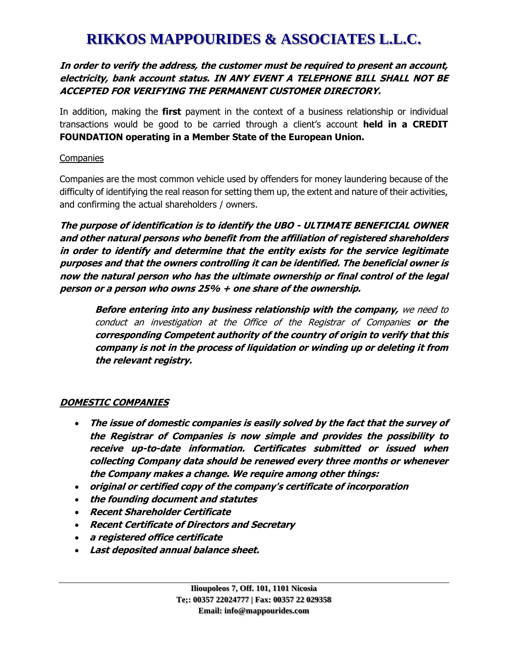#### **In order to verify the address, the customer must be required to present an account, electricity, bank account status. IN ANY EVENT A TELEPHONE BILL SHALL NOT BE ACCEPTED FOR VERIFYING THE PERMANENT CUSTOMER DIRECTORY.**

In addition, making the **first** payment in the context of a business relationship or individual transactions would be good to be carried through a client's account **held in a CREDIT FOUNDATION operating in a Member State of the European Union.**

#### **Companies**

Companies are the most common vehicle used by offenders for money laundering because of the difficulty of identifying the real reason for setting them up, the extent and nature of their activities, and confirming the actual shareholders / owners.

**The purpose of identification is to identify the UBO - ULTIMATE BENEFICIAL OWNER and other natural persons who benefit from the affiliation of registered shareholders in order to identify and determine that the entity exists for the service legitimate purposes and that the owners controlling it can be identified. The beneficial owner is now the natural person who has the ultimate ownership or final control of the legal person or a person who owns 25% + one share of the ownership.**

**Before entering into any business relationship with the company,** we need to conduct an investigation at the Office of the Registrar of Companies **or the corresponding Competent authority of the country of origin to verify that this company is not in the process of liquidation or winding up or deleting it from the relevant registry.**

### **DOMESTIC COMPANIES**

- **The issue of domestic companies is easily solved by the fact that the survey of the Registrar of Companies is now simple and provides the possibility to receive up-to-date information. Certificates submitted or issued when collecting Company data should be renewed every three months or whenever the Company makes a change. We require among other things:**
- **original or certified copy of the company's certificate of incorporation**
- **the founding document and statutes**
- **Recent Shareholder Certificate**
- **Recent Certificate of Directors and Secretary**
- **a registered office certificate**
- **Last deposited annual balance sheet.**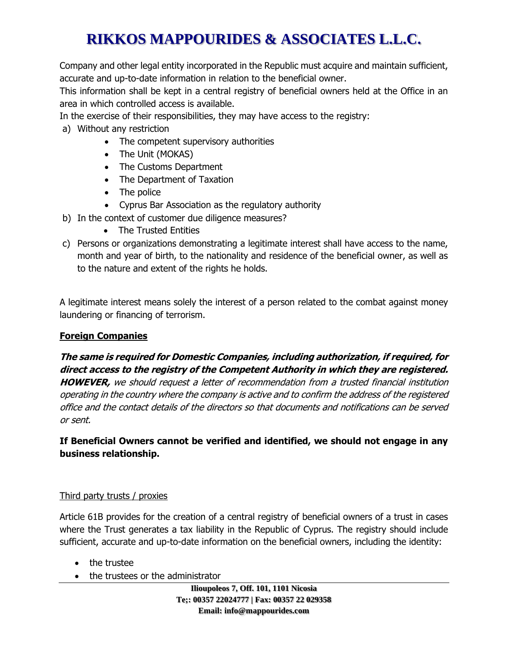Company and other legal entity incorporated in the Republic must acquire and maintain sufficient, accurate and up-to-date information in relation to the beneficial owner.

This information shall be kept in a central registry of beneficial owners held at the Office in an area in which controlled access is available.

In the exercise of their responsibilities, they may have access to the registry:

- a) Without any restriction
	- The competent supervisory authorities
	- The Unit (MOKAS)
	- The Customs Department
	- The Department of Taxation
	- The police
	- Cyprus Bar Association as the regulatory authority
- b) In the context of customer due diligence measures?
	- The Trusted Entities
- c) Persons or organizations demonstrating a legitimate interest shall have access to the name, month and year of birth, to the nationality and residence of the beneficial owner, as well as to the nature and extent of the rights he holds.

A legitimate interest means solely the interest of a person related to the combat against money laundering or financing of terrorism.

### **Foreign Companies**

### **The same is required for Domestic Companies, including authorization, if required, for direct access to the registry of the Competent Authority in which they are registered.**

**HOWEVER,** we should request a letter of recommendation from a trusted financial institution operating in the country where the company is active and to confirm the address of the registered office and the contact details of the directors so that documents and notifications can be served or sent.

**If Beneficial Owners cannot be verified and identified, we should not engage in any business relationship.**

### Third party trusts / proxies

Article 61B provides for the creation of a central registry of beneficial owners of a trust in cases where the Trust generates a tax liability in the Republic of Cyprus. The registry should include sufficient, accurate and up-to-date information on the beneficial owners, including the identity:

- the trustee
- the trustees or the administrator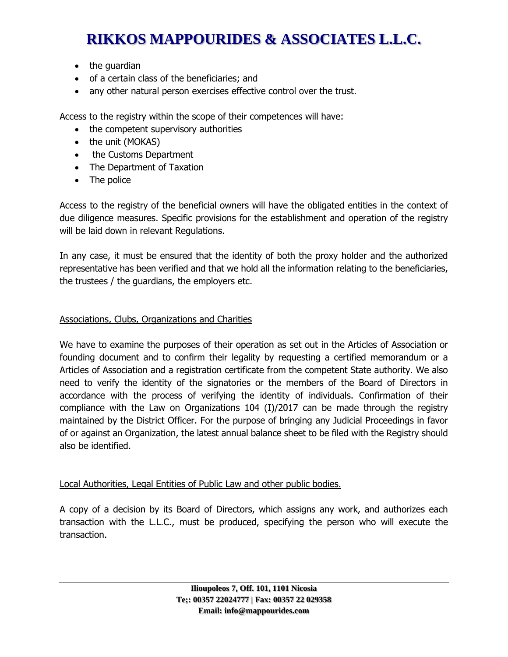- the guardian
- of a certain class of the beneficiaries; and
- any other natural person exercises effective control over the trust.

Access to the registry within the scope of their competences will have:

- the competent supervisory authorities
- the unit (MOKAS)
- the Customs Department
- The Department of Taxation
- The police

Access to the registry of the beneficial owners will have the obligated entities in the context of due diligence measures. Specific provisions for the establishment and operation of the registry will be laid down in relevant Regulations.

In any case, it must be ensured that the identity of both the proxy holder and the authorized representative has been verified and that we hold all the information relating to the beneficiaries, the trustees / the guardians, the employers etc.

### Associations, Clubs, Organizations and Charities

We have to examine the purposes of their operation as set out in the Articles of Association or founding document and to confirm their legality by requesting a certified memorandum or a Articles of Association and a registration certificate from the competent State authority. We also need to verify the identity of the signatories or the members of the Board of Directors in accordance with the process of verifying the identity of individuals. Confirmation of their compliance with the Law on Organizations 104 (I)/2017 can be made through the registry maintained by the District Officer. For the purpose of bringing any Judicial Proceedings in favor of or against an Organization, the latest annual balance sheet to be filed with the Registry should also be identified.

### Local Authorities, Legal Entities of Public Law and other public bodies.

A copy of a decision by its Board of Directors, which assigns any work, and authorizes each transaction with the L.L.C., must be produced, specifying the person who will execute the transaction.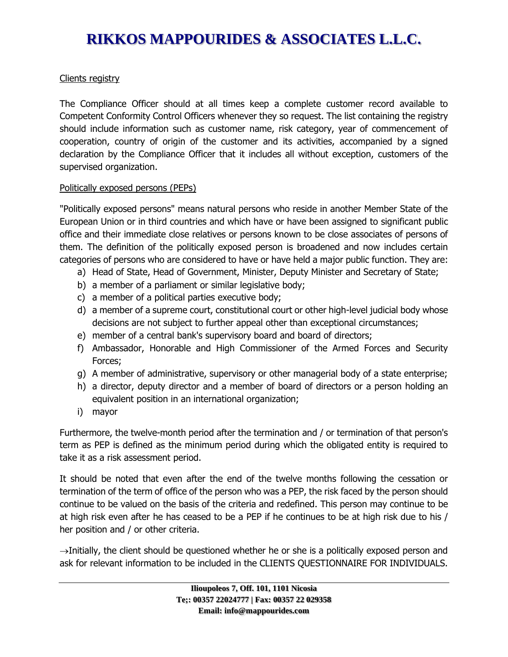#### Clients registry

The Compliance Officer should at all times keep a complete customer record available to Competent Conformity Control Officers whenever they so request. The list containing the registry should include information such as customer name, risk category, year of commencement of cooperation, country of origin of the customer and its activities, accompanied by a signed declaration by the Compliance Officer that it includes all without exception, customers of the supervised organization.

#### Politically exposed persons (PEPs)

"Politically exposed persons" means natural persons who reside in another Member State of the European Union or in third countries and which have or have been assigned to significant public office and their immediate close relatives or persons known to be close associates of persons of them. The definition of the politically exposed person is broadened and now includes certain categories of persons who are considered to have or have held a major public function. They are:

- a) Head of State, Head of Government, Minister, Deputy Minister and Secretary of State;
- b) a member of a parliament or similar legislative body;
- c) a member of a political parties executive body;
- d) a member of a supreme court, constitutional court or other high-level judicial body whose decisions are not subject to further appeal other than exceptional circumstances;
- e) member of a central bank's supervisory board and board of directors;
- f) Ambassador, Honorable and High Commissioner of the Armed Forces and Security Forces;
- g) A member of administrative, supervisory or other managerial body of a state enterprise;
- h) a director, deputy director and a member of board of directors or a person holding an equivalent position in an international organization;
- i) mayor

Furthermore, the twelve-month period after the termination and / or termination of that person's term as PEP is defined as the minimum period during which the obligated entity is required to take it as a risk assessment period.

It should be noted that even after the end of the twelve months following the cessation or termination of the term of office of the person who was a PEP, the risk faced by the person should continue to be valued on the basis of the criteria and redefined. This person may continue to be at high risk even after he has ceased to be a PEP if he continues to be at high risk due to his / her position and / or other criteria.

 $\rightarrow$ Initially, the client should be questioned whether he or she is a politically exposed person and ask for relevant information to be included in the CLIENTS QUESTIONNAIRE FOR INDIVIDUALS.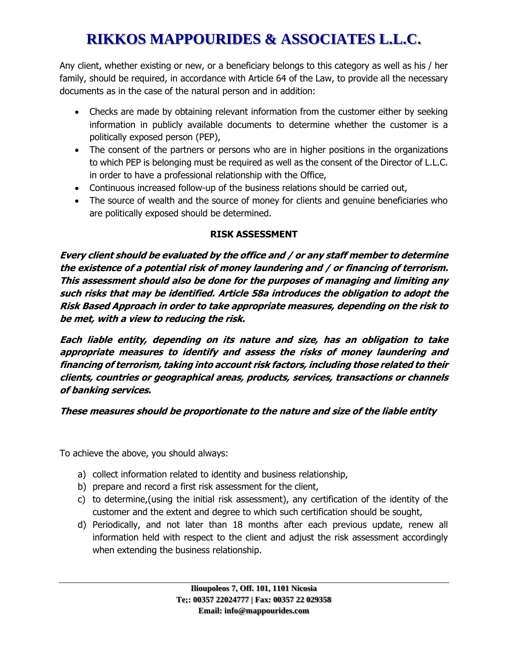Any client, whether existing or new, or a beneficiary belongs to this category as well as his / her family, should be required, in accordance with Article 64 of the Law, to provide all the necessary documents as in the case of the natural person and in addition:

- Checks are made by obtaining relevant information from the customer either by seeking information in publicly available documents to determine whether the customer is a politically exposed person (PEP),
- The consent of the partners or persons who are in higher positions in the organizations to which PEP is belonging must be required as well as the consent of the Director of L.L.C. in order to have a professional relationship with the Office,
- Continuous increased follow-up of the business relations should be carried out,
- The source of wealth and the source of money for clients and genuine beneficiaries who are politically exposed should be determined.

### **RISK ASSESSMENT**

**Every client should be evaluated by the office and / or any staff member to determine the existence of a potential risk of money laundering and / or financing of terrorism. This assessment should also be done for the purposes of managing and limiting any such risks that may be identified. Article 58a introduces the obligation to adopt the Risk Based Approach in order to take appropriate measures, depending on the risk to be met, with a view to reducing the risk.**

**Each liable entity, depending on its nature and size, has an obligation to take appropriate measures to identify and assess the risks of money laundering and financing of terrorism, taking into account risk factors, including those related to their clients, countries or geographical areas, products, services, transactions or channels of banking services.**

**These measures should be proportionate to the nature and size of the liable entity**

To achieve the above, you should always:

- a) collect information related to identity and business relationship,
- b) prepare and record a first risk assessment for the client,
- c) to determine,(using the initial risk assessment), any certification of the identity of the customer and the extent and degree to which such certification should be sought,
- d) Periodically, and not later than 18 months after each previous update, renew all information held with respect to the client and adjust the risk assessment accordingly when extending the business relationship.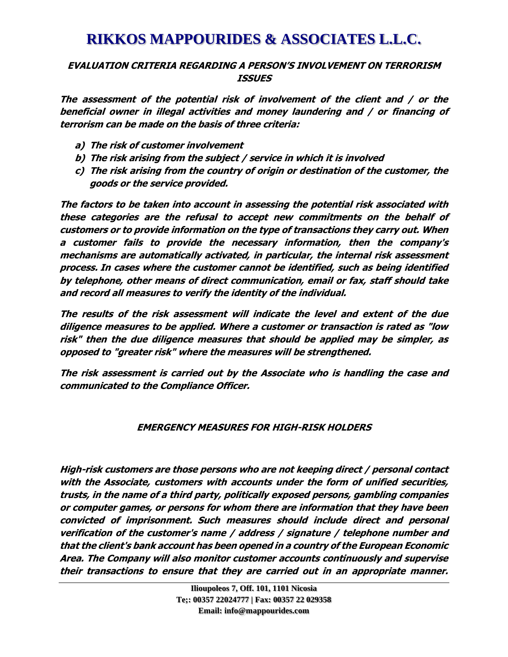#### **EVALUATION CRITERIA REGARDING A PERSON'S INVOLVEMENT ON TERRORISM ISSUES**

**The assessment of the potential risk of involvement of the client and / or the beneficial owner in illegal activities and money laundering and / or financing of terrorism can be made on the basis of three criteria:**

- **a) The risk of customer involvement**
- **b) The risk arising from the subject / service in which it is involved**
- **c) The risk arising from the country of origin or destination of the customer, the goods or the service provided.**

**The factors to be taken into account in assessing the potential risk associated with these categories are the refusal to accept new commitments on the behalf of customers or to provide information on the type of transactions they carry out. When a customer fails to provide the necessary information, then the company's mechanisms are automatically activated, in particular, the internal risk assessment process. In cases where the customer cannot be identified, such as being identified by telephone, other means of direct communication, email or fax, staff should take and record all measures to verify the identity of the individual.**

**The results of the risk assessment will indicate the level and extent of the due diligence measures to be applied. Where a customer or transaction is rated as "low risk" then the due diligence measures that should be applied may be simpler, as opposed to "greater risk" where the measures will be strengthened.**

**The risk assessment is carried out by the Associate who is handling the case and communicated to the Compliance Officer.**

### **EMERGENCY MEASURES FOR HIGH-RISK HOLDERS**

**High-risk customers are those persons who are not keeping direct / personal contact with the Associate, customers with accounts under the form of unified securities, trusts, in the name of a third party, politically exposed persons, gambling companies or computer games, or persons for whom there are information that they have been convicted of imprisonment. Such measures should include direct and personal verification of the customer's name / address / signature / telephone number and that the client's bank account has been opened in a country of the European Economic Area. The Company will also monitor customer accounts continuously and supervise their transactions to ensure that they are carried out in an appropriate manner.**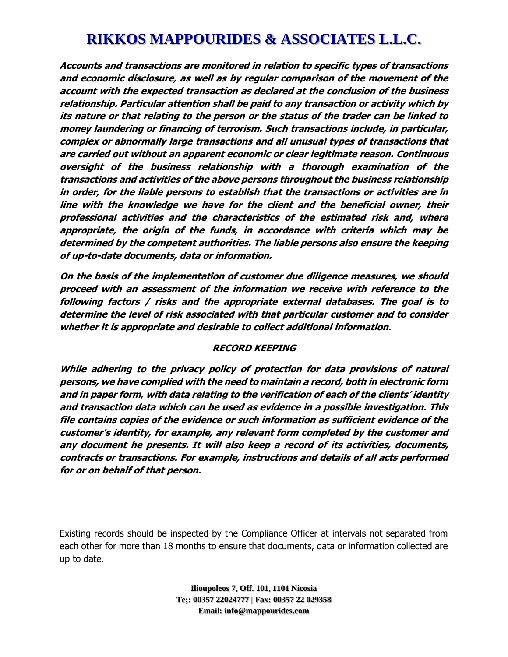**Accounts and transactions are monitored in relation to specific types of transactions and economic disclosure, as well as by regular comparison of the movement of the account with the expected transaction as declared at the conclusion of the business relationship. Particular attention shall be paid to any transaction or activity which by its nature or that relating to the person or the status of the trader can be linked to money laundering or financing of terrorism. Such transactions include, in particular, complex or abnormally large transactions and all unusual types of transactions that are carried out without an apparent economic or clear legitimate reason. Continuous oversight of the business relationship with a thorough examination of the transactions and activities of the above persons throughout the business relationship in order, for the liable persons to establish that the transactions or activities are in line with the knowledge we have for the client and the beneficial owner, their professional activities and the characteristics of the estimated risk and, where appropriate, the origin of the funds, in accordance with criteria which may be determined by the competent authorities. The liable persons also ensure the keeping of up-to-date documents, data or information.**

**On the basis of the implementation of customer due diligence measures, we should proceed with an assessment of the information we receive with reference to the following factors / risks and the appropriate external databases. The goal is to determine the level of risk associated with that particular customer and to consider whether it is appropriate and desirable to collect additional information.**

#### **RECORD KEEPING**

**While adhering to the privacy policy of protection for data provisions of natural persons, we have complied with the need to maintain a record, both in electronic form and in paper form, with data relating to the verification of each of the clients' identity and transaction data which can be used as evidence in a possible investigation. This file contains copies of the evidence or such information as sufficient evidence of the customer's identity, for example, any relevant form completed by the customer and any document he presents. It will also keep a record of its activities, documents, contracts or transactions. For example, instructions and details of all acts performed for or on behalf of that person.**

Existing records should be inspected by the Compliance Officer at intervals not separated from each other for more than 18 months to ensure that documents, data or information collected are up to date.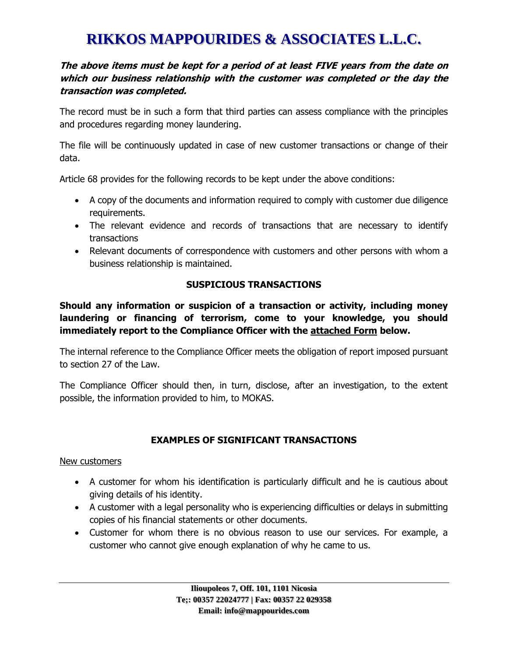#### **The above items must be kept for a period of at least FIVE years from the date on which our business relationship with the customer was completed or the day the transaction was completed.**

The record must be in such a form that third parties can assess compliance with the principles and procedures regarding money laundering.

The file will be continuously updated in case of new customer transactions or change of their data.

Article 68 provides for the following records to be kept under the above conditions:

- A copy of the documents and information required to comply with customer due diligence requirements.
- The relevant evidence and records of transactions that are necessary to identify transactions
- Relevant documents of correspondence with customers and other persons with whom a business relationship is maintained.

### **SUSPICIOUS TRANSACTIONS**

**Should any information or suspicion of a transaction or activity, including money laundering or financing of terrorism, come to your knowledge, you should immediately report to the Compliance Officer with the attached Form below.**

The internal reference to the Compliance Officer meets the obligation of report imposed pursuant to section 27 of the Law.

The Compliance Officer should then, in turn, disclose, after an investigation, to the extent possible, the information provided to him, to MOKAS.

### **EXAMPLES OF SIGNIFICANT TRANSACTIONS**

#### New customers

- A customer for whom his identification is particularly difficult and he is cautious about giving details of his identity.
- A customer with a legal personality who is experiencing difficulties or delays in submitting copies of his financial statements or other documents.
- Customer for whom there is no obvious reason to use our services. For example, a customer who cannot give enough explanation of why he came to us.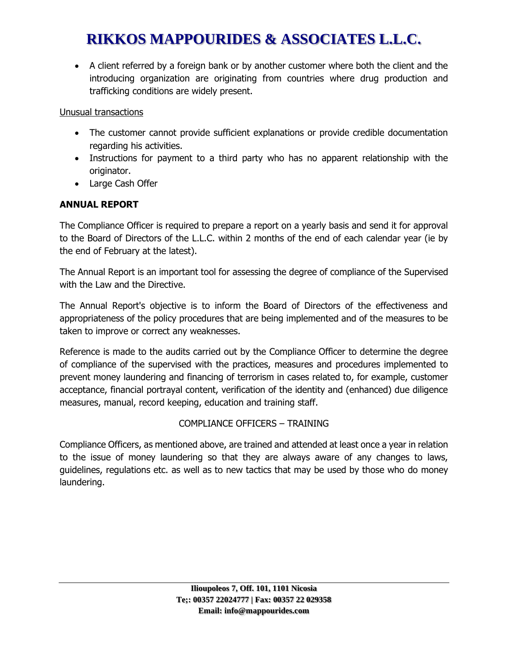• A client referred by a foreign bank or by another customer where both the client and the introducing organization are originating from countries where drug production and trafficking conditions are widely present.

#### Unusual transactions

- The customer cannot provide sufficient explanations or provide credible documentation regarding his activities.
- Instructions for payment to a third party who has no apparent relationship with the originator.
- Large Cash Offer

### **ANNUAL REPORT**

The Compliance Officer is required to prepare a report on a yearly basis and send it for approval to the Board of Directors of the L.L.C. within 2 months of the end of each calendar year (ie by the end of February at the latest).

The Annual Report is an important tool for assessing the degree of compliance of the Supervised with the Law and the Directive.

The Annual Report's objective is to inform the Board of Directors of the effectiveness and appropriateness of the policy procedures that are being implemented and of the measures to be taken to improve or correct any weaknesses.

Reference is made to the audits carried out by the Compliance Officer to determine the degree of compliance of the supervised with the practices, measures and procedures implemented to prevent money laundering and financing of terrorism in cases related to, for example, customer acceptance, financial portrayal content, verification of the identity and (enhanced) due diligence measures, manual, record keeping, education and training staff.

### COMPLIANCE OFFICERS – TRAINING

Compliance Officers, as mentioned above, are trained and attended at least once a year in relation to the issue of money laundering so that they are always aware of any changes to laws, guidelines, regulations etc. as well as to new tactics that may be used by those who do money laundering.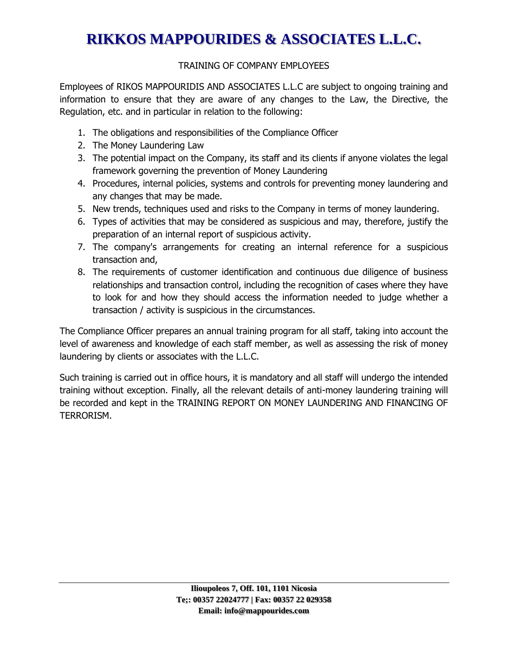### TRAINING OF COMPANY EMPLOYEES

Employees of RIKOS MAPPOURIDIS AND ASSOCIATES L.L.C are subject to ongoing training and information to ensure that they are aware of any changes to the Law, the Directive, the Regulation, etc. and in particular in relation to the following:

- 1. The obligations and responsibilities of the Compliance Officer
- 2. The Money Laundering Law
- 3. The potential impact on the Company, its staff and its clients if anyone violates the legal framework governing the prevention of Money Laundering
- 4. Procedures, internal policies, systems and controls for preventing money laundering and any changes that may be made.
- 5. New trends, techniques used and risks to the Company in terms of money laundering.
- 6. Types of activities that may be considered as suspicious and may, therefore, justify the preparation of an internal report of suspicious activity.
- 7. The company's arrangements for creating an internal reference for a suspicious transaction and,
- 8. The requirements of customer identification and continuous due diligence of business relationships and transaction control, including the recognition of cases where they have to look for and how they should access the information needed to judge whether a transaction / activity is suspicious in the circumstances.

The Compliance Officer prepares an annual training program for all staff, taking into account the level of awareness and knowledge of each staff member, as well as assessing the risk of money laundering by clients or associates with the L.L.C.

Such training is carried out in office hours, it is mandatory and all staff will undergo the intended training without exception. Finally, all the relevant details of anti-money laundering training will be recorded and kept in the TRAINING REPORT ON MONEY LAUNDERING AND FINANCING OF TERRORISM.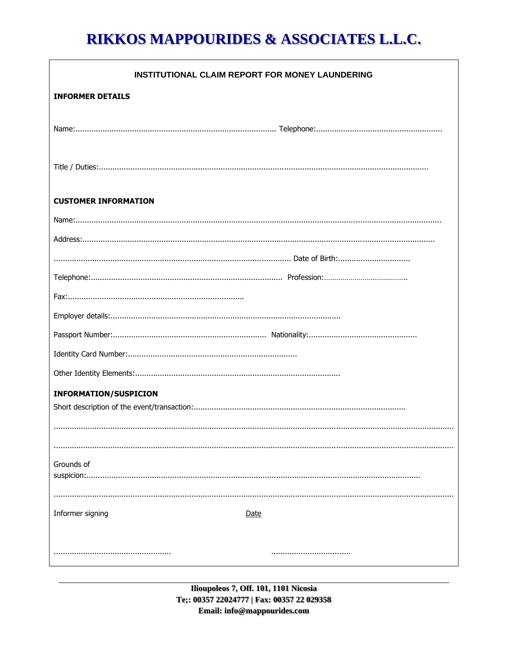| <b>INSTITUTIONAL CLAIM REPORT FOR MONEY LAUNDERING</b> |
|--------------------------------------------------------|
| <b>INFORMER DETAILS</b>                                |
|                                                        |
|                                                        |
|                                                        |
|                                                        |
|                                                        |
| <b>CUSTOMER INFORMATION</b>                            |
|                                                        |
|                                                        |
|                                                        |
|                                                        |
|                                                        |
|                                                        |
|                                                        |
|                                                        |
|                                                        |
| <b>INFORMATION/SUSPICION</b>                           |
|                                                        |
|                                                        |
|                                                        |
| Grounds of                                             |
|                                                        |
|                                                        |
| Informer signing<br>Date                               |
|                                                        |
|                                                        |

Ilioupoleos 7, Off. 101, 1101 Nicosia Te;: 00357 22024777 | Fax: 00357 22 029358 Email: info@mappourides.com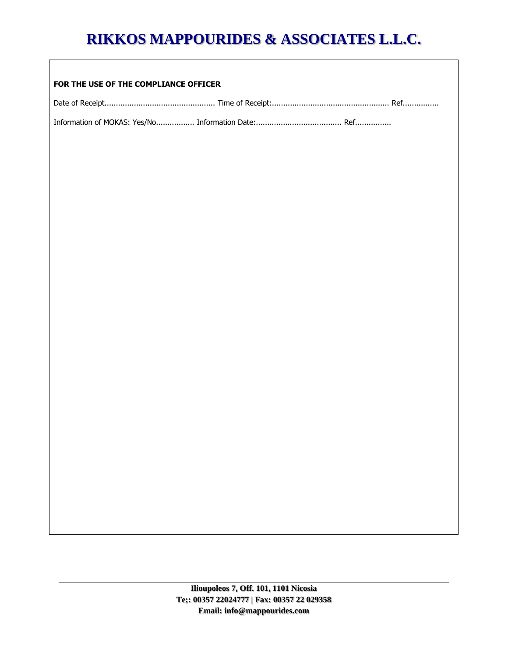#### **FOR THE USE OF THE COMPLIANCE OFFICER**

Date of Receipt................................................. Time of Receipt:.................................................... Ref................

Information of MOKAS: Yes/No................. Information Date:...................................... Ref................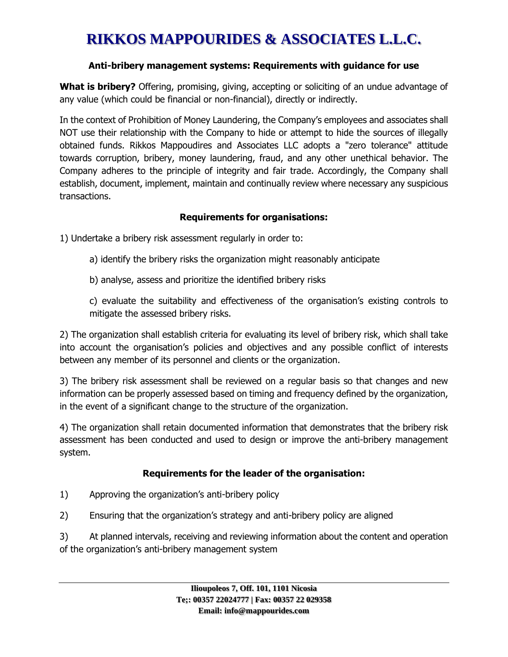#### **Anti-bribery management systems: Requirements with guidance for use**

**What is bribery?** Offering, promising, giving, accepting or soliciting of an undue advantage of any value (which could be financial or non-financial), directly or indirectly.

In the context of Prohibition of Money Laundering, the Company's employees and associates shall NOT use their relationship with the Company to hide or attempt to hide the sources of illegally obtained funds. Rikkos Mappoudires and Associates LLC adopts a "zero tolerance" attitude towards corruption, bribery, money laundering, fraud, and any other unethical behavior. The Company adheres to the principle of integrity and fair trade. Accordingly, the Company shall establish, document, implement, maintain and continually review where necessary any suspicious transactions.

### **Requirements for organisations:**

1) Undertake a bribery risk assessment regularly in order to:

- a) identify the bribery risks the organization might reasonably anticipate
- b) analyse, assess and prioritize the identified bribery risks

c) evaluate the suitability and effectiveness of the organisation's existing controls to mitigate the assessed bribery risks.

2) The organization shall establish criteria for evaluating its level of bribery risk, which shall take into account the organisation's policies and objectives and any possible conflict of interests between any member of its personnel and clients or the organization.

3) The bribery risk assessment shall be reviewed on a regular basis so that changes and new information can be properly assessed based on timing and frequency defined by the organization, in the event of a significant change to the structure of the organization.

4) The organization shall retain documented information that demonstrates that the bribery risk assessment has been conducted and used to design or improve the anti-bribery management system.

### **Requirements for the leader of the organisation:**

- 1) Approving the organization's anti-bribery policy
- 2) Ensuring that the organization's strategy and anti-bribery policy are aligned

3) At planned intervals, receiving and reviewing information about the content and operation of the organization's anti-bribery management system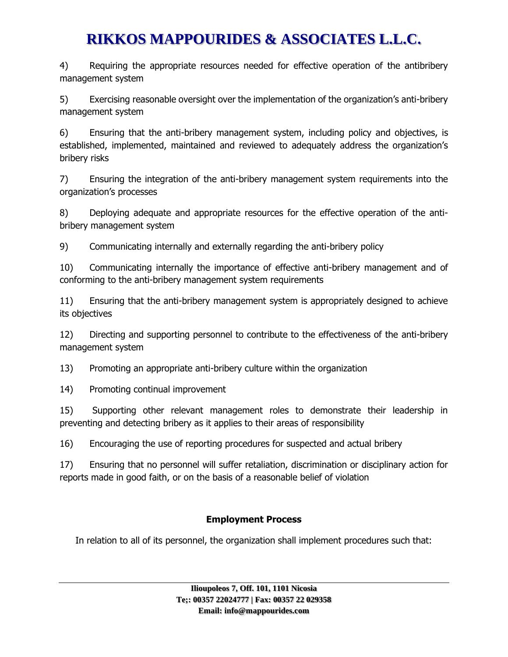4) Requiring the appropriate resources needed for effective operation of the antibribery management system

5) Exercising reasonable oversight over the implementation of the organization's anti-bribery management system

6) Ensuring that the anti-bribery management system, including policy and objectives, is established, implemented, maintained and reviewed to adequately address the organization's bribery risks

7) Ensuring the integration of the anti-bribery management system requirements into the organization's processes

8) Deploying adequate and appropriate resources for the effective operation of the antibribery management system

9) Communicating internally and externally regarding the anti-bribery policy

10) Communicating internally the importance of effective anti-bribery management and of conforming to the anti-bribery management system requirements

11) Ensuring that the anti-bribery management system is appropriately designed to achieve its objectives

12) Directing and supporting personnel to contribute to the effectiveness of the anti-bribery management system

13) Promoting an appropriate anti-bribery culture within the organization

14) Promoting continual improvement

15) Supporting other relevant management roles to demonstrate their leadership in preventing and detecting bribery as it applies to their areas of responsibility

16) Encouraging the use of reporting procedures for suspected and actual bribery

17) Ensuring that no personnel will suffer retaliation, discrimination or disciplinary action for reports made in good faith, or on the basis of a reasonable belief of violation

### **Employment Process**

In relation to all of its personnel, the organization shall implement procedures such that: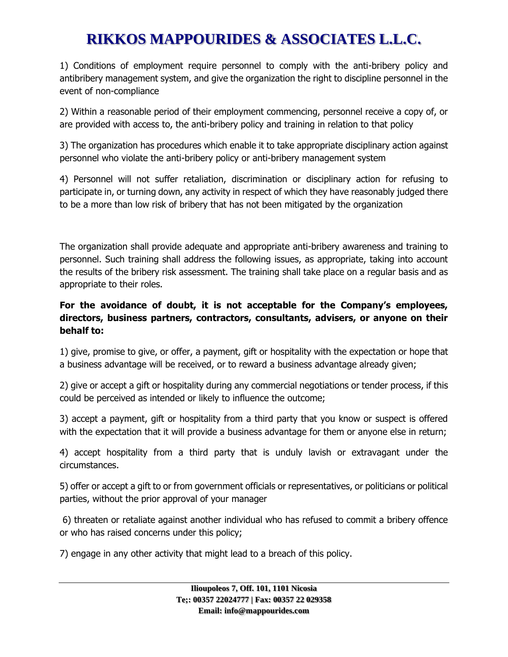1) Conditions of employment require personnel to comply with the anti-bribery policy and antibribery management system, and give the organization the right to discipline personnel in the event of non-compliance

2) Within a reasonable period of their employment commencing, personnel receive a copy of, or are provided with access to, the anti-bribery policy and training in relation to that policy

3) The organization has procedures which enable it to take appropriate disciplinary action against personnel who violate the anti-bribery policy or anti-bribery management system

4) Personnel will not suffer retaliation, discrimination or disciplinary action for refusing to participate in, or turning down, any activity in respect of which they have reasonably judged there to be a more than low risk of bribery that has not been mitigated by the organization

The organization shall provide adequate and appropriate anti-bribery awareness and training to personnel. Such training shall address the following issues, as appropriate, taking into account the results of the bribery risk assessment. The training shall take place on a regular basis and as appropriate to their roles.

### **For the avoidance of doubt, it is not acceptable for the Company's employees, directors, business partners, contractors, consultants, advisers, or anyone on their behalf to:**

1) give, promise to give, or offer, a payment, gift or hospitality with the expectation or hope that a business advantage will be received, or to reward a business advantage already given;

2) give or accept a gift or hospitality during any commercial negotiations or tender process, if this could be perceived as intended or likely to influence the outcome;

3) accept a payment, gift or hospitality from a third party that you know or suspect is offered with the expectation that it will provide a business advantage for them or anyone else in return;

4) accept hospitality from a third party that is unduly lavish or extravagant under the circumstances.

5) offer or accept a gift to or from government officials or representatives, or politicians or political parties, without the prior approval of your manager

6) threaten or retaliate against another individual who has refused to commit a bribery offence or who has raised concerns under this policy;

7) engage in any other activity that might lead to a breach of this policy.